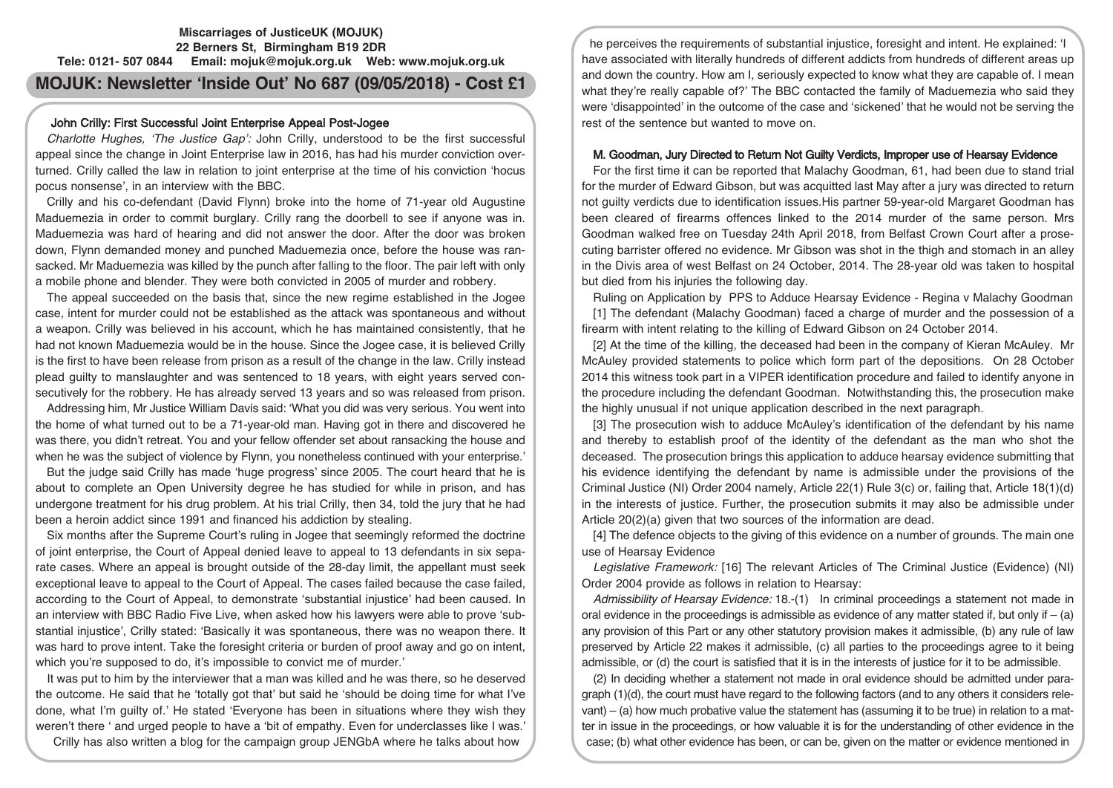## **Miscarriages of JusticeUK (MOJUK) 22 Berners St, Birmingham B19 2DR Tele: 0121- 507 0844 Email: mojuk@mojuk.org.uk Web: www.mojuk.org.uk**

# **MOJUK: Newsletter 'Inside Out' No 687 (09/05/2018) - Cost £1**

## John Crilly: First Successful Joint Enterprise Appeal Post-Jogee

Charlotte Hughes, 'The Justice Gap': John Crilly, understood to be the first successful appeal since the change in Joint Enterprise law in 2016, has had his murder conviction overturned. Crilly called the law in relation to joint enterprise at the time of his conviction 'hocus pocus nonsense', in an interview with the BBC.

Crilly and his co-defendant (David Flynn) broke into the home of 71-year old Augustine Maduemezia in order to commit burglary. Crilly rang the doorbell to see if anyone was in. Maduemezia was hard of hearing and did not answer the door. After the door was broken down, Flynn demanded money and punched Maduemezia once, before the house was ransacked. Mr Maduemezia was killed by the punch after falling to the floor. The pair left with only a mobile phone and blender. They were both convicted in 2005 of murder and robbery.

The appeal succeeded on the basis that, since the new regime established in the Jogee case, intent for murder could not be established as the attack was spontaneous and without a weapon. Crilly was believed in his account, which he has maintained consistently, that he had not known Maduemezia would be in the house. Since the Jogee case, it is believed Crilly is the first to have been release from prison as a result of the change in the law. Crilly instead plead guilty to manslaughter and was sentenced to 18 years, with eight years served consecutively for the robbery. He has already served 13 years and so was released from prison.

Addressing him, Mr Justice William Davis said: 'What you did was very serious. You went into the home of what turned out to be a 71-year-old man. Having got in there and discovered he was there, you didn't retreat. You and your fellow offender set about ransacking the house and when he was the subject of violence by Flynn, you nonetheless continued with your enterprise.'

But the judge said Crilly has made 'huge progress' since 2005. The court heard that he is about to complete an Open University degree he has studied for while in prison, and has undergone treatment for his drug problem. At his trial Crilly, then 34, told the jury that he had been a heroin addict since 1991 and financed his addiction by stealing.

Six months after the Supreme Court's ruling in Jogee that seemingly reformed the doctrine of joint enterprise, the Court of Appeal denied leave to appeal to 13 defendants in six separate cases. Where an appeal is brought outside of the 28-day limit, the appellant must seek exceptional leave to appeal to the Court of Appeal. The cases failed because the case failed, according to the Court of Appeal, to demonstrate 'substantial injustice' had been caused. In an interview with BBC Radio Five Live, when asked how his lawyers were able to prove 'substantial injustice', Crilly stated: 'Basically it was spontaneous, there was no weapon there. It was hard to prove intent. Take the foresight criteria or burden of proof away and go on intent, which you're supposed to do, it's impossible to convict me of murder.'

It was put to him by the interviewer that a man was killed and he was there, so he deserved the outcome. He said that he 'totally got that' but said he 'should be doing time for what I've done, what I'm guilty of.' He stated 'Everyone has been in situations where they wish they weren't there ' and urged people to have a 'bit of empathy. Even for underclasses like I was.'

Crilly has also written a blog for the campaign group JENGbA where he talks about how

he perceives the requirements of substantial injustice, foresight and intent. He explained: 'I have associated with literally hundreds of different addicts from hundreds of different areas up and down the country. How am I, seriously expected to know what they are capable of. I mean what they're really capable of?' The BBC contacted the family of Maduemezia who said they were 'disappointed' in the outcome of the case and 'sickened' that he would not be serving the rest of the sentence but wanted to move on.

# M. Goodman, Jury Directed to Return Not Guilty Verdicts, Improper use of Hearsay Evidence

For the first time it can be reported that Malachy Goodman, 61, had been due to stand trial for the murder of Edward Gibson, but was acquitted last May after a jury was directed to return not guilty verdicts due to identification issues.His partner 59-year-old Margaret Goodman has been cleared of firearms offences linked to the 2014 murder of the same person. Mrs Goodman walked free on Tuesday 24th April 2018, from Belfast Crown Court after a prosecuting barrister offered no evidence. Mr Gibson was shot in the thigh and stomach in an alley in the Divis area of west Belfast on 24 October, 2014. The 28-year old was taken to hospital but died from his injuries the following day.

Ruling on Application by PPS to Adduce Hearsay Evidence - Regina v Malachy Goodman [1] The defendant (Malachy Goodman) faced a charge of murder and the possession of a firearm with intent relating to the killing of Edward Gibson on 24 October 2014.

[2] At the time of the killing, the deceased had been in the company of Kieran McAuley. Mr McAuley provided statements to police which form part of the depositions. On 28 October 2014 this witness took part in a VIPER identification procedure and failed to identify anyone in the procedure including the defendant Goodman. Notwithstanding this, the prosecution make the highly unusual if not unique application described in the next paragraph.

[3] The prosecution wish to adduce McAuley's identification of the defendant by his name and thereby to establish proof of the identity of the defendant as the man who shot the deceased. The prosecution brings this application to adduce hearsay evidence submitting that his evidence identifying the defendant by name is admissible under the provisions of the Criminal Justice (NI) Order 2004 namely, Article 22(1) Rule 3(c) or, failing that, Article 18(1)(d) in the interests of justice. Further, the prosecution submits it may also be admissible under Article 20(2)(a) given that two sources of the information are dead.

[4] The defence objects to the giving of this evidence on a number of grounds. The main one use of Hearsay Evidence

Legislative Framework: [16] The relevant Articles of The Criminal Justice (Evidence) (NI) Order 2004 provide as follows in relation to Hearsay:

Admissibility of Hearsay Evidence: 18.-(1) In criminal proceedings a statement not made in oral evidence in the proceedings is admissible as evidence of any matter stated if, but only if  $-$  (a) any provision of this Part or any other statutory provision makes it admissible, (b) any rule of law preserved by Article 22 makes it admissible, (c) all parties to the proceedings agree to it being admissible, or (d) the court is satisfied that it is in the interests of justice for it to be admissible.

(2) In deciding whether a statement not made in oral evidence should be admitted under paragraph (1)(d), the court must have regard to the following factors (and to any others it considers relevant) – (a) how much probative value the statement has (assuming it to be true) in relation to a matter in issue in the proceedings, or how valuable it is for the understanding of other evidence in the case; (b) what other evidence has been, or can be, given on the matter or evidence mentioned in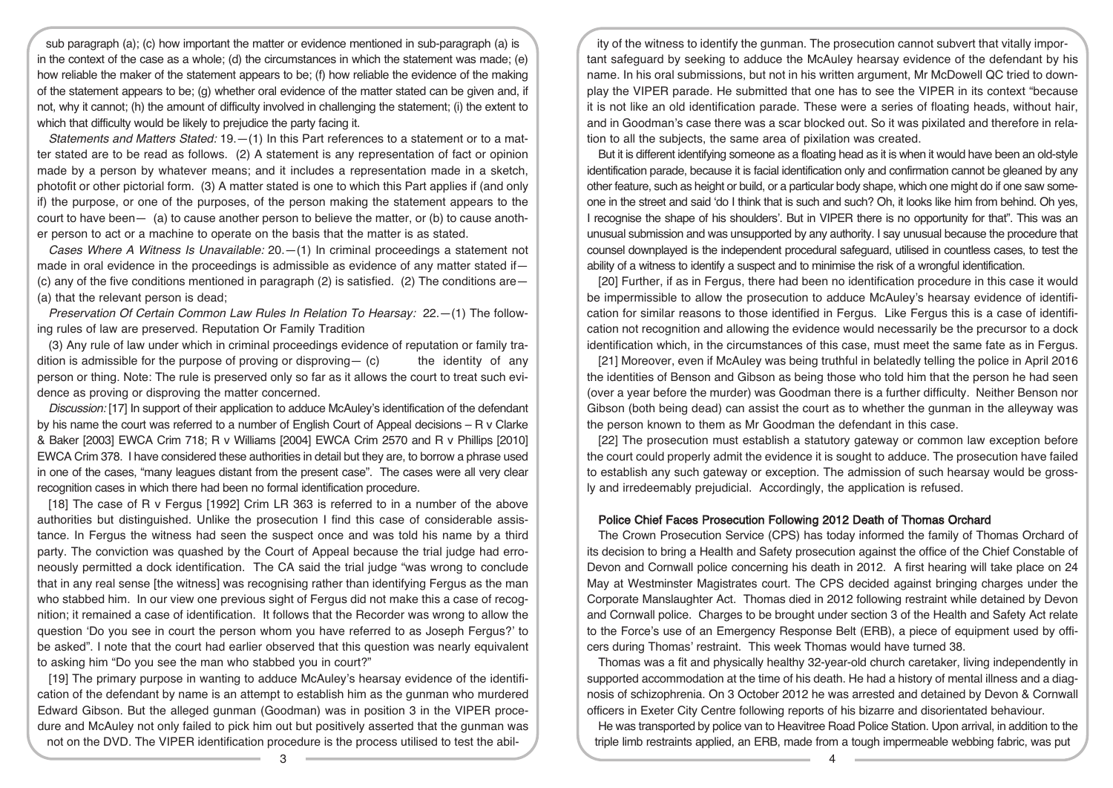sub paragraph (a); (c) how important the matter or evidence mentioned in sub-paragraph (a) is in the context of the case as a whole; (d) the circumstances in which the statement was made; (e) how reliable the maker of the statement appears to be; (f) how reliable the evidence of the making of the statement appears to be; (g) whether oral evidence of the matter stated can be given and, if not, why it cannot; (h) the amount of difficulty involved in challenging the statement; (i) the extent to which that difficulty would be likely to prejudice the party facing it.

Statements and Matters Stated: 19. - (1) In this Part references to a statement or to a matter stated are to be read as follows. (2) A statement is any representation of fact or opinion made by a person by whatever means; and it includes a representation made in a sketch, photofit or other pictorial form. (3) A matter stated is one to which this Part applies if (and only if) the purpose, or one of the purposes, of the person making the statement appears to the court to have been— (a) to cause another person to believe the matter, or (b) to cause another person to act or a machine to operate on the basis that the matter is as stated.

Cases Where A Witness Is Unavailable:  $20 - (1)$  In criminal proceedings a statement not made in oral evidence in the proceedings is admissible as evidence of any matter stated if-(c) any of the five conditions mentioned in paragraph  $(2)$  is satisfied.  $(2)$  The conditions are— (a) that the relevant person is dead;

Preservation Of Certain Common Law Rules In Relation To Hearsay: 22.—(1) The following rules of law are preserved. Reputation Or Family Tradition

(3) Any rule of law under which in criminal proceedings evidence of reputation or family tradition is admissible for the purpose of proving or disproving  $-$  (c) the identity of any person or thing. Note: The rule is preserved only so far as it allows the court to treat such evidence as proving or disproving the matter concerned.

Discussion: [17] In support of their application to adduce McAuley's identification of the defendant by his name the court was referred to a number of English Court of Appeal decisions – R v Clarke & Baker [2003] EWCA Crim 718; R v Williams [2004] EWCA Crim 2570 and R v Phillips [2010] EWCA Crim 378. I have considered these authorities in detail but they are, to borrow a phrase used in one of the cases, "many leagues distant from the present case". The cases were all very clear recognition cases in which there had been no formal identification procedure.

[18] The case of R v Fergus [1992] Crim LR 363 is referred to in a number of the above authorities but distinguished. Unlike the prosecution I find this case of considerable assistance. In Fergus the witness had seen the suspect once and was told his name by a third party. The conviction was quashed by the Court of Appeal because the trial judge had erroneously permitted a dock identification. The CA said the trial judge "was wrong to conclude that in any real sense [the witness] was recognising rather than identifying Fergus as the man who stabbed him. In our view one previous sight of Fergus did not make this a case of recognition; it remained a case of identification. It follows that the Recorder was wrong to allow the question 'Do you see in court the person whom you have referred to as Joseph Fergus?' to be asked". I note that the court had earlier observed that this question was nearly equivalent to asking him "Do you see the man who stabbed you in court?"

[19] The primary purpose in wanting to adduce McAuley's hearsay evidence of the identification of the defendant by name is an attempt to establish him as the gunman who murdered Edward Gibson. But the alleged gunman (Goodman) was in position 3 in the VIPER procedure and McAuley not only failed to pick him out but positively asserted that the gunman was not on the DVD. The VIPER identification procedure is the process utilised to test the abil-

ity of the witness to identify the gunman. The prosecution cannot subvert that vitally important safeguard by seeking to adduce the McAuley hearsay evidence of the defendant by his name. In his oral submissions, but not in his written argument, Mr McDowell QC tried to downplay the VIPER parade. He submitted that one has to see the VIPER in its context "because it is not like an old identification parade. These were a series of floating heads, without hair, and in Goodman's case there was a scar blocked out. So it was pixilated and therefore in relation to all the subjects, the same area of pixilation was created.

But it is different identifying someone as a floating head as it is when it would have been an old-style identification parade, because it is facial identification only and confirmation cannot be gleaned by any other feature, such as height or build, or a particular body shape, which one might do if one saw someone in the street and said 'do I think that is such and such? Oh, it looks like him from behind. Oh yes, I recognise the shape of his shoulders'. But in VIPER there is no opportunity for that". This was an unusual submission and was unsupported by any authority. I say unusual because the procedure that counsel downplayed is the independent procedural safeguard, utilised in countless cases, to test the ability of a witness to identify a suspect and to minimise the risk of a wrongful identification.

[20] Further, if as in Fergus, there had been no identification procedure in this case it would be impermissible to allow the prosecution to adduce McAuley's hearsay evidence of identification for similar reasons to those identified in Fergus. Like Fergus this is a case of identification not recognition and allowing the evidence would necessarily be the precursor to a dock identification which, in the circumstances of this case, must meet the same fate as in Fergus.

[21] Moreover, even if McAuley was being truthful in belatedly telling the police in April 2016 the identities of Benson and Gibson as being those who told him that the person he had seen (over a year before the murder) was Goodman there is a further difficulty. Neither Benson nor Gibson (both being dead) can assist the court as to whether the gunman in the alleyway was the person known to them as Mr Goodman the defendant in this case.

[22] The prosecution must establish a statutory gateway or common law exception before the court could properly admit the evidence it is sought to adduce. The prosecution have failed to establish any such gateway or exception. The admission of such hearsay would be grossly and irredeemably prejudicial. Accordingly, the application is refused.

### Police Chief Faces Prosecution Following 2012 Death of Thomas Orchard

The Crown Prosecution Service (CPS) has today informed the family of Thomas Orchard of its decision to bring a Health and Safety prosecution against the office of the Chief Constable of Devon and Cornwall police concerning his death in 2012. A first hearing will take place on 24 May at Westminster Magistrates court. The CPS decided against bringing charges under the Corporate Manslaughter Act. Thomas died in 2012 following restraint while detained by Devon and Cornwall police. Charges to be brought under section 3 of the Health and Safety Act relate to the Force's use of an Emergency Response Belt (ERB), a piece of equipment used by officers during Thomas' restraint. This week Thomas would have turned 38.

Thomas was a fit and physically healthy 32-year-old church caretaker, living independently in supported accommodation at the time of his death. He had a history of mental illness and a diagnosis of schizophrenia. On 3 October 2012 he was arrested and detained by Devon & Cornwall officers in Exeter City Centre following reports of his bizarre and disorientated behaviour.

He was transported by police van to Heavitree Road Police Station. Upon arrival, in addition to the triple limb restraints applied, an ERB, made from a tough impermeable webbing fabric, was put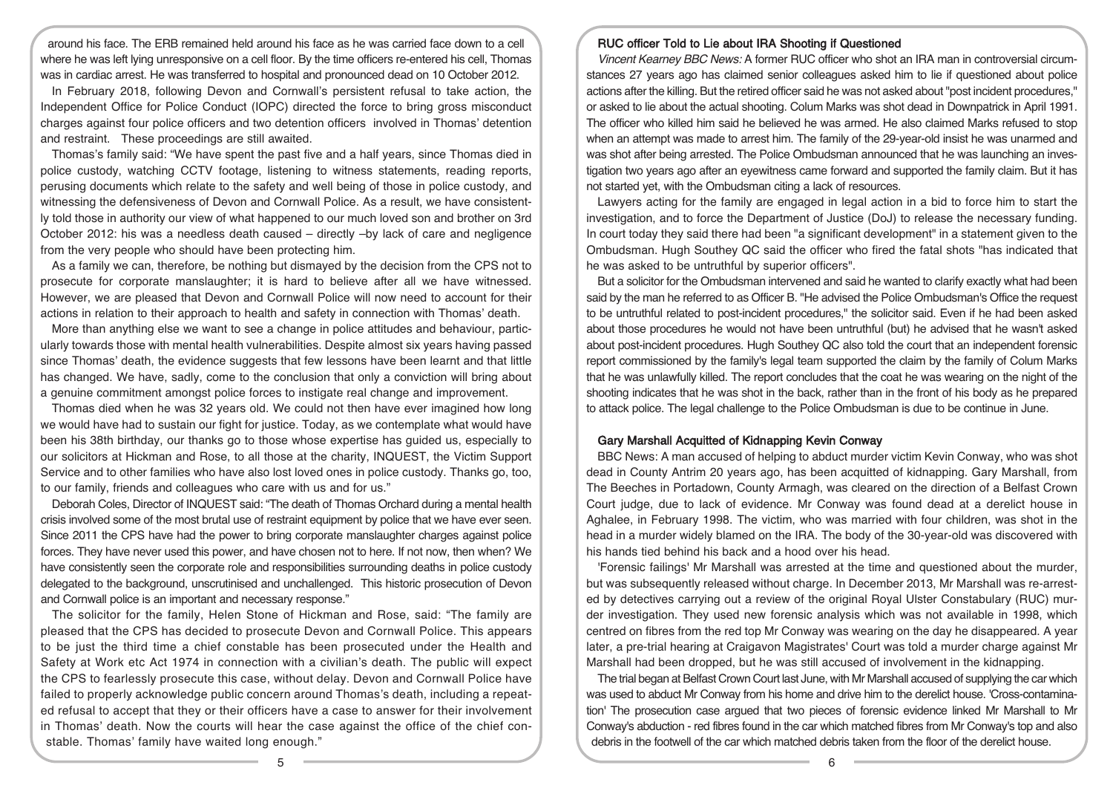around his face. The ERB remained held around his face as he was carried face down to a cell where he was left lying unresponsive on a cell floor. By the time officers re-entered his cell, Thomas was in cardiac arrest. He was transferred to hospital and pronounced dead on 10 October 2012.

In February 2018, following Devon and Cornwall's persistent refusal to take action, the Independent Office for Police Conduct (IOPC) directed the force to bring gross misconduct charges against four police officers and two detention officers involved in Thomas' detention and restraint. These proceedings are still awaited.

Thomas's family said: "We have spent the past five and a half years, since Thomas died in police custody, watching CCTV footage, listening to witness statements, reading reports, perusing documents which relate to the safety and well being of those in police custody, and witnessing the defensiveness of Devon and Cornwall Police. As a result, we have consistently told those in authority our view of what happened to our much loved son and brother on 3rd October 2012: his was a needless death caused – directly –by lack of care and negligence from the very people who should have been protecting him.

As a family we can, therefore, be nothing but dismayed by the decision from the CPS not to prosecute for corporate manslaughter; it is hard to believe after all we have witnessed. However, we are pleased that Devon and Cornwall Police will now need to account for their actions in relation to their approach to health and safety in connection with Thomas' death.

More than anything else we want to see a change in police attitudes and behaviour, particularly towards those with mental health vulnerabilities. Despite almost six years having passed since Thomas' death, the evidence suggests that few lessons have been learnt and that little has changed. We have, sadly, come to the conclusion that only a conviction will bring about a genuine commitment amongst police forces to instigate real change and improvement.

Thomas died when he was 32 years old. We could not then have ever imagined how long we would have had to sustain our fight for justice. Today, as we contemplate what would have been his 38th birthday, our thanks go to those whose expertise has guided us, especially to our solicitors at Hickman and Rose, to all those at the charity, INQUEST, the Victim Support Service and to other families who have also lost loved ones in police custody. Thanks go, too, to our family, friends and colleagues who care with us and for us."

Deborah Coles, Director of INQUEST said: "The death of Thomas Orchard during a mental health crisis involved some of the most brutal use of restraint equipment by police that we have ever seen. Since 2011 the CPS have had the power to bring corporate manslaughter charges against police forces. They have never used this power, and have chosen not to here. If not now, then when? We have consistently seen the corporate role and responsibilities surrounding deaths in police custody delegated to the background, unscrutinised and unchallenged. This historic prosecution of Devon and Cornwall police is an important and necessary response."

The solicitor for the family, Helen Stone of Hickman and Rose, said: "The family are pleased that the CPS has decided to prosecute Devon and Cornwall Police. This appears to be just the third time a chief constable has been prosecuted under the Health and Safety at Work etc Act 1974 in connection with a civilian's death. The public will expect the CPS to fearlessly prosecute this case, without delay. Devon and Cornwall Police have failed to properly acknowledge public concern around Thomas's death, including a repeated refusal to accept that they or their officers have a case to answer for their involvement in Thomas' death. Now the courts will hear the case against the office of the chief constable. Thomas' family have waited long enough."

## RUC officer Told to Lie about IRA Shooting if Questioned

Vincent Kearney BBC News: A former RUC officer who shot an IRA man in controversial circumstances 27 years ago has claimed senior colleagues asked him to lie if questioned about police actions after the killing. But the retired officer said he was not asked about "post incident procedures," or asked to lie about the actual shooting. Colum Marks was shot dead in Downpatrick in April 1991. The officer who killed him said he believed he was armed. He also claimed Marks refused to stop when an attempt was made to arrest him. The family of the 29-year-old insist he was unarmed and was shot after being arrested. The Police Ombudsman announced that he was launching an investigation two years ago after an eyewitness came forward and supported the family claim. But it has not started yet, with the Ombudsman citing a lack of resources.

Lawyers acting for the family are engaged in legal action in a bid to force him to start the investigation, and to force the Department of Justice (DoJ) to release the necessary funding. In court today they said there had been "a significant development" in a statement given to the Ombudsman. Hugh Southey QC said the officer who fired the fatal shots "has indicated that he was asked to be untruthful by superior officers".

But a solicitor for the Ombudsman intervened and said he wanted to clarify exactly what had been said by the man he referred to as Officer B. "He advised the Police Ombudsman's Office the request to be untruthful related to post-incident procedures," the solicitor said. Even if he had been asked about those procedures he would not have been untruthful (but) he advised that he wasn't asked about post-incident procedures. Hugh Southey QC also told the court that an independent forensic report commissioned by the family's legal team supported the claim by the family of Colum Marks that he was unlawfully killed. The report concludes that the coat he was wearing on the night of the shooting indicates that he was shot in the back, rather than in the front of his body as he prepared to attack police. The legal challenge to the Police Ombudsman is due to be continue in June.

# Gary Marshall Acquitted of Kidnapping Kevin Conway

BBC News: A man accused of helping to abduct murder victim Kevin Conway, who was shot dead in County Antrim 20 years ago, has been acquitted of kidnapping. Gary Marshall, from The Beeches in Portadown, County Armagh, was cleared on the direction of a Belfast Crown Court judge, due to lack of evidence. Mr Conway was found dead at a derelict house in Aghalee, in February 1998. The victim, who was married with four children, was shot in the head in a murder widely blamed on the IRA. The body of the 30-year-old was discovered with his hands tied behind his back and a hood over his head.

'Forensic failings' Mr Marshall was arrested at the time and questioned about the murder, but was subsequently released without charge. In December 2013, Mr Marshall was re-arrested by detectives carrying out a review of the original Royal Ulster Constabulary (RUC) murder investigation. They used new forensic analysis which was not available in 1998, which centred on fibres from the red top Mr Conway was wearing on the day he disappeared. A year later, a pre-trial hearing at Craigavon Magistrates' Court was told a murder charge against Mr Marshall had been dropped, but he was still accused of involvement in the kidnapping.

The trial began at Belfast Crown Court last June, with Mr Marshall accused of supplying the car which was used to abduct Mr Conway from his home and drive him to the derelict house. 'Cross-contamination' The prosecution case argued that two pieces of forensic evidence linked Mr Marshall to Mr Conway's abduction - red fibres found in the car which matched fibres from Mr Conway's top and also debris in the footwell of the car which matched debris taken from the floor of the derelict house.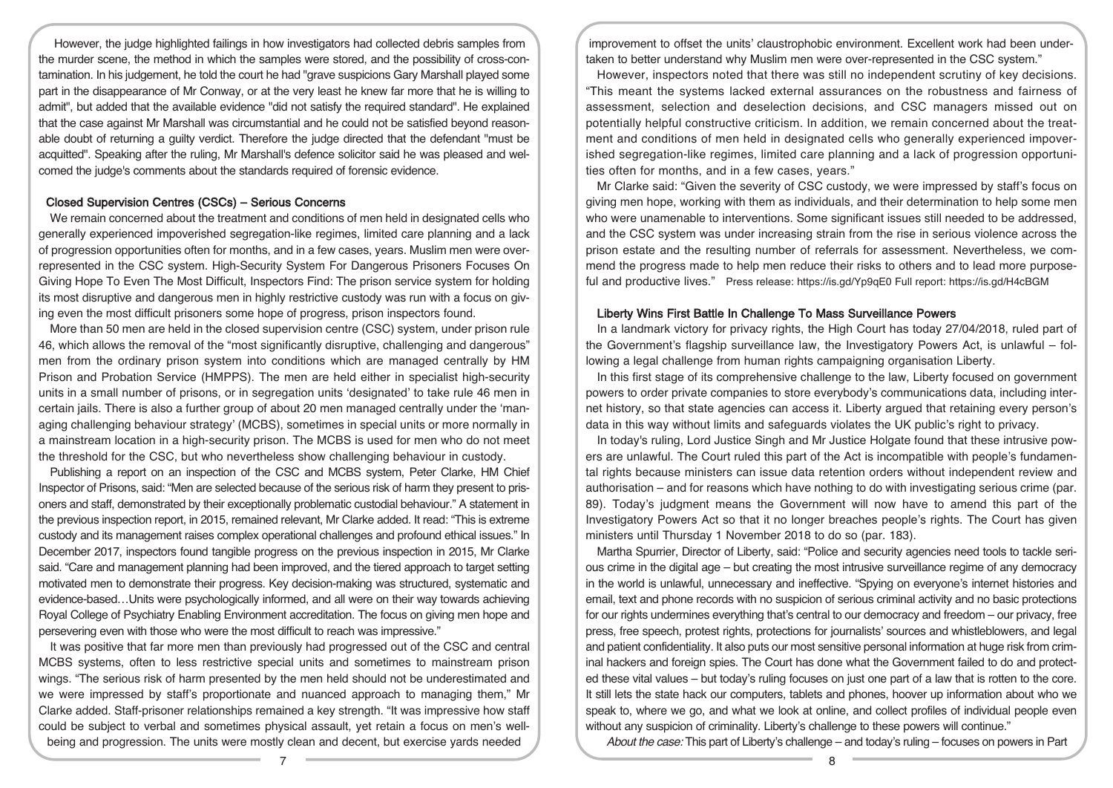However, the judge highlighted failings in how investigators had collected debris samples from the murder scene, the method in which the samples were stored, and the possibility of cross-contamination. In his judgement, he told the court he had "grave suspicions Gary Marshall played some part in the disappearance of Mr Conway, or at the very least he knew far more that he is willing to admit", but added that the available evidence "did not satisfy the required standard". He explained that the case against Mr Marshall was circumstantial and he could not be satisfied beyond reasonable doubt of returning a guilty verdict. Therefore the judge directed that the defendant "must be acquitted". Speaking after the ruling, Mr Marshall's defence solicitor said he was pleased and welcomed the judge's comments about the standards required of forensic evidence.

#### Closed Supervision Centres (CSCs) – Serious Concerns

We remain concerned about the treatment and conditions of men held in designated cells who generally experienced impoverished segregation-like regimes, limited care planning and a lack of progression opportunities often for months, and in a few cases, years. Muslim men were overrepresented in the CSC system. High-Security System For Dangerous Prisoners Focuses On Giving Hope To Even The Most Difficult, Inspectors Find: The prison service system for holding its most disruptive and dangerous men in highly restrictive custody was run with a focus on giving even the most difficult prisoners some hope of progress, prison inspectors found.

More than 50 men are held in the closed supervision centre (CSC) system, under prison rule 46, which allows the removal of the "most significantly disruptive, challenging and dangerous" men from the ordinary prison system into conditions which are managed centrally by HM Prison and Probation Service (HMPPS). The men are held either in specialist high-security units in a small number of prisons, or in segregation units 'designated' to take rule 46 men in certain jails. There is also a further group of about 20 men managed centrally under the 'managing challenging behaviour strategy' (MCBS), sometimes in special units or more normally in a mainstream location in a high-security prison. The MCBS is used for men who do not meet the threshold for the CSC, but who nevertheless show challenging behaviour in custody.

Publishing a report on an inspection of the CSC and MCBS system, Peter Clarke, HM Chief Inspector of Prisons, said: "Men are selected because of the serious risk of harm they present to prisoners and staff, demonstrated by their exceptionally problematic custodial behaviour." A statement in the previous inspection report, in 2015, remained relevant, Mr Clarke added. It read: "This is extreme custody and its management raises complex operational challenges and profound ethical issues." In December 2017, inspectors found tangible progress on the previous inspection in 2015, Mr Clarke said. "Care and management planning had been improved, and the tiered approach to target setting motivated men to demonstrate their progress. Key decision-making was structured, systematic and evidence-based…Units were psychologically informed, and all were on their way towards achieving Royal College of Psychiatry Enabling Environment accreditation. The focus on giving men hope and persevering even with those who were the most difficult to reach was impressive."

It was positive that far more men than previously had progressed out of the CSC and central MCBS systems, often to less restrictive special units and sometimes to mainstream prison wings. "The serious risk of harm presented by the men held should not be underestimated and we were impressed by staff's proportionate and nuanced approach to managing them," Mr Clarke added. Staff-prisoner relationships remained a key strength. "It was impressive how staff could be subject to verbal and sometimes physical assault, yet retain a focus on men's wellbeing and progression. The units were mostly clean and decent, but exercise yards needed

improvement to offset the units' claustrophobic environment. Excellent work had been undertaken to better understand why Muslim men were over-represented in the CSC system."

However, inspectors noted that there was still no independent scrutiny of key decisions. "This meant the systems lacked external assurances on the robustness and fairness of assessment, selection and deselection decisions, and CSC managers missed out on potentially helpful constructive criticism. In addition, we remain concerned about the treatment and conditions of men held in designated cells who generally experienced impoverished segregation-like regimes, limited care planning and a lack of progression opportunities often for months, and in a few cases, years."

Mr Clarke said: "Given the severity of CSC custody, we were impressed by staff's focus on giving men hope, working with them as individuals, and their determination to help some men who were unamenable to interventions. Some significant issues still needed to be addressed, and the CSC system was under increasing strain from the rise in serious violence across the prison estate and the resulting number of referrals for assessment. Nevertheless, we commend the progress made to help men reduce their risks to others and to lead more purposeful and productive lives." Press release: https://is.gd/Yp9qE0 Full report: https://is.gd/H4cBGM

#### Liberty Wins First Battle In Challenge To Mass Surveillance Powers

In a landmark victory for privacy rights, the High Court has today 27/04/2018, ruled part of the Government's flagship surveillance law, the Investigatory Powers Act, is unlawful – following a legal challenge from human rights campaigning organisation Liberty.

In this first stage of its comprehensive challenge to the law, Liberty focused on government powers to order private companies to store everybody's communications data, including internet history, so that state agencies can access it. Liberty argued that retaining every person's data in this way without limits and safeguards violates the UK public's right to privacy.

In today's ruling, Lord Justice Singh and Mr Justice Holgate found that these intrusive powers are unlawful. The Court ruled this part of the Act is incompatible with people's fundamental rights because ministers can issue data retention orders without independent review and authorisation – and for reasons which have nothing to do with investigating serious crime (par. 89). Today's judgment means the Government will now have to amend this part of the Investigatory Powers Act so that it no longer breaches people's rights. The Court has given ministers until Thursday 1 November 2018 to do so (par. 183).

Martha Spurrier, Director of Liberty, said: "Police and security agencies need tools to tackle serious crime in the digital age – but creating the most intrusive surveillance regime of any democracy in the world is unlawful, unnecessary and ineffective. "Spying on everyone's internet histories and email, text and phone records with no suspicion of serious criminal activity and no basic protections for our rights undermines everything that's central to our democracy and freedom – our privacy, free press, free speech, protest rights, protections for journalists' sources and whistleblowers, and legal and patient confidentiality. It also puts our most sensitive personal information at huge risk from criminal hackers and foreign spies. The Court has done what the Government failed to do and protected these vital values – but today's ruling focuses on just one part of a law that is rotten to the core. It still lets the state hack our computers, tablets and phones, hoover up information about who we speak to, where we go, and what we look at online, and collect profiles of individual people even without any suspicion of criminality. Liberty's challenge to these powers will continue."

About the case: This part of Liberty's challenge – and today's ruling – focuses on powers in Part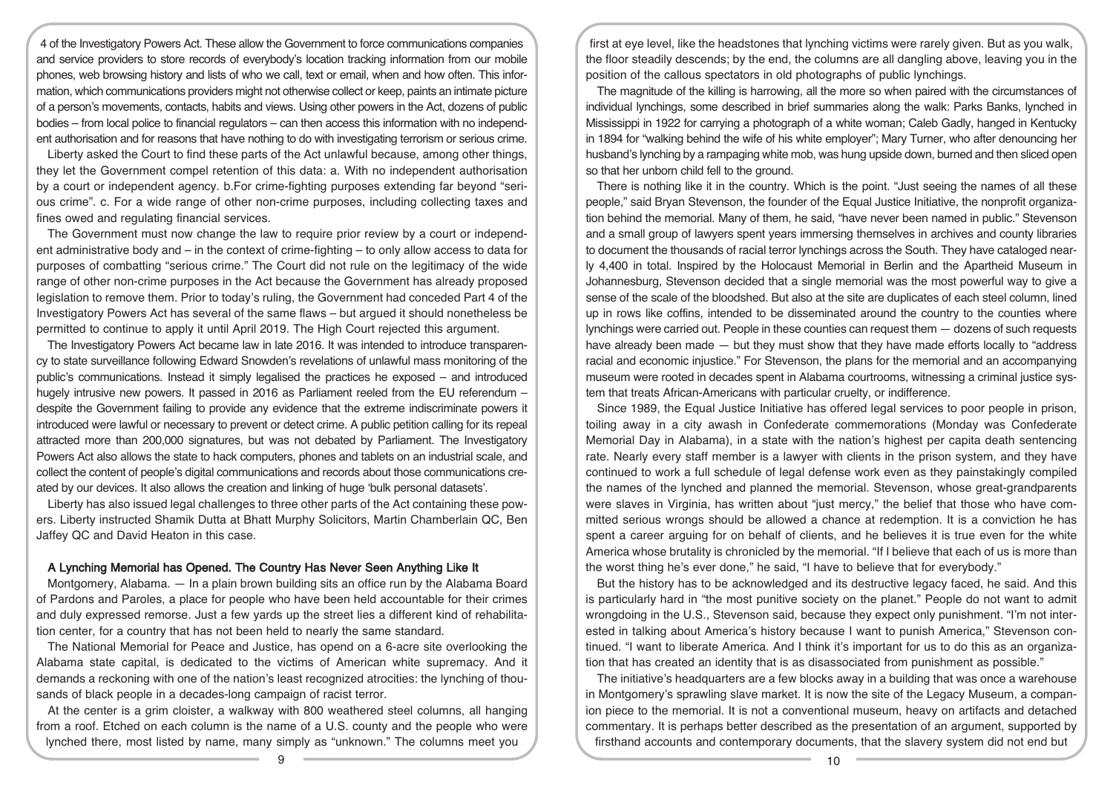4 of the Investigatory Powers Act. These allow the Government to force communications companies and service providers to store records of everybody's location tracking information from our mobile phones, web browsing history and lists of who we call, text or email, when and how often. This information, which communications providers might not otherwise collect or keep, paints an intimate picture of a person's movements, contacts, habits and views. Using other powers in the Act, dozens of public bodies – from local police to financial regulators – can then access this information with no independent authorisation and for reasons that have nothing to do with investigating terrorism or serious crime.

Liberty asked the Court to find these parts of the Act unlawful because, among other things, they let the Government compel retention of this data: a. With no independent authorisation by a court or independent agency. b.For crime-fighting purposes extending far beyond "serious crime". c. For a wide range of other non-crime purposes, including collecting taxes and fines owed and regulating financial services.

The Government must now change the law to require prior review by a court or independent administrative body and – in the context of crime-fighting – to only allow access to data for purposes of combatting "serious crime." The Court did not rule on the legitimacy of the wide range of other non-crime purposes in the Act because the Government has already proposed legislation to remove them. Prior to today's ruling, the Government had conceded Part 4 of the Investigatory Powers Act has several of the same flaws – but argued it should nonetheless be permitted to continue to apply it until April 2019. The High Court rejected this argument.

The Investigatory Powers Act became law in late 2016. It was intended to introduce transparency to state surveillance following Edward Snowden's revelations of unlawful mass monitoring of the public's communications. Instead it simply legalised the practices he exposed – and introduced hugely intrusive new powers. It passed in 2016 as Parliament reeled from the EU referendum – despite the Government failing to provide any evidence that the extreme indiscriminate powers it introduced were lawful or necessary to prevent or detect crime. A public petition calling for its repeal attracted more than 200,000 signatures, but was not debated by Parliament. The Investigatory Powers Act also allows the state to hack computers, phones and tablets on an industrial scale, and collect the content of people's digital communications and records about those communications created by our devices. It also allows the creation and linking of huge 'bulk personal datasets'.

Liberty has also issued legal challenges to three other parts of the Act containing these powers. Liberty instructed Shamik Dutta at Bhatt Murphy Solicitors, Martin Chamberlain QC, Ben Jaffey QC and David Heaton in this case.

#### A Lynching Memorial has Opened. The Country Has Never Seen Anything Like It

Montgomery, Alabama. — In a plain brown building sits an office run by the Alabama Board of Pardons and Paroles, a place for people who have been held accountable for their crimes and duly expressed remorse. Just a few yards up the street lies a different kind of rehabilitation center, for a country that has not been held to nearly the same standard.

The National Memorial for Peace and Justice, has opend on a 6-acre site overlooking the Alabama state capital, is dedicated to the victims of American white supremacy. And it demands a reckoning with one of the nation's least recognized atrocities: the lynching of thousands of black people in a decades-long campaign of racist terror.

At the center is a grim cloister, a walkway with 800 weathered steel columns, all hanging from a roof. Etched on each column is the name of a U.S. county and the people who were lynched there, most listed by name, many simply as "unknown." The columns meet you

first at eye level, like the headstones that lynching victims were rarely given. But as you walk, the floor steadily descends; by the end, the columns are all dangling above, leaving you in the position of the callous spectators in old photographs of public lynchings.

The magnitude of the killing is harrowing, all the more so when paired with the circumstances of individual lynchings, some described in brief summaries along the walk: Parks Banks, lynched in Mississippi in 1922 for carrying a photograph of a white woman; Caleb Gadly, hanged in Kentucky in 1894 for "walking behind the wife of his white employer"; Mary Turner, who after denouncing her husband's lynching by a rampaging white mob, was hung upside down, burned and then sliced open so that her unborn child fell to the ground.

There is nothing like it in the country. Which is the point. "Just seeing the names of all these people," said Bryan Stevenson, the founder of the Equal Justice Initiative, the nonprofit organization behind the memorial. Many of them, he said, "have never been named in public." Stevenson and a small group of lawyers spent years immersing themselves in archives and county libraries to document the thousands of racial terror lynchings across the South. They have cataloged nearly 4,400 in total. Inspired by the Holocaust Memorial in Berlin and the Apartheid Museum in Johannesburg, Stevenson decided that a single memorial was the most powerful way to give a sense of the scale of the bloodshed. But also at the site are duplicates of each steel column, lined up in rows like coffins, intended to be disseminated around the country to the counties where lynchings were carried out. People in these counties can request them — dozens of such requests have already been made — but they must show that they have made efforts locally to "address racial and economic injustice." For Stevenson, the plans for the memorial and an accompanying museum were rooted in decades spent in Alabama courtrooms, witnessing a criminal justice system that treats African-Americans with particular cruelty, or indifference.

Since 1989, the Equal Justice Initiative has offered legal services to poor people in prison, toiling away in a city awash in Confederate commemorations (Monday was Confederate Memorial Day in Alabama), in a state with the nation's highest per capita death sentencing rate. Nearly every staff member is a lawyer with clients in the prison system, and they have continued to work a full schedule of legal defense work even as they painstakingly compiled the names of the lynched and planned the memorial. Stevenson, whose great-grandparents were slaves in Virginia, has written about "just mercy," the belief that those who have committed serious wrongs should be allowed a chance at redemption. It is a conviction he has spent a career arguing for on behalf of clients, and he believes it is true even for the white America whose brutality is chronicled by the memorial. "If I believe that each of us is more than the worst thing he's ever done," he said, "I have to believe that for everybody."

But the history has to be acknowledged and its destructive legacy faced, he said. And this is particularly hard in "the most punitive society on the planet." People do not want to admit wrongdoing in the U.S., Stevenson said, because they expect only punishment. "I'm not interested in talking about America's history because I want to punish America," Stevenson continued. "I want to liberate America. And I think it's important for us to do this as an organization that has created an identity that is as disassociated from punishment as possible."

The initiative's headquarters are a few blocks away in a building that was once a warehouse in Montgomery's sprawling slave market. It is now the site of the Legacy Museum, a companion piece to the memorial. It is not a conventional museum, heavy on artifacts and detached commentary. It is perhaps better described as the presentation of an argument, supported by firsthand accounts and contemporary documents, that the slavery system did not end but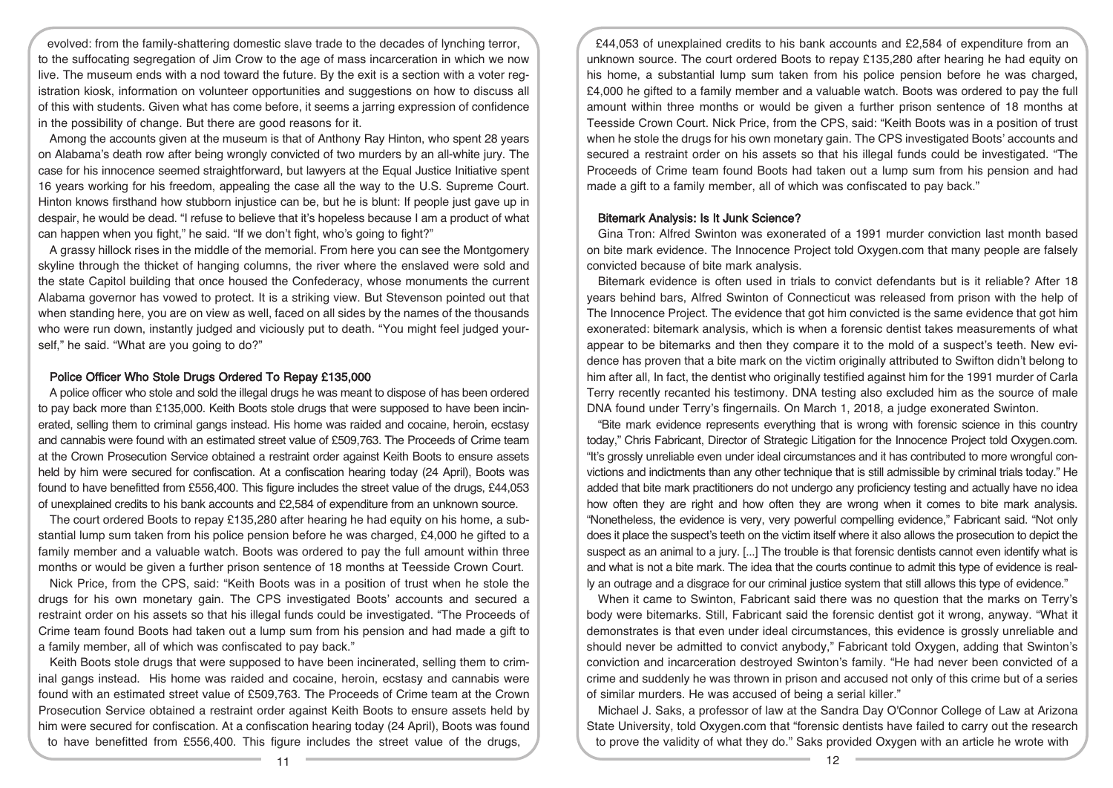evolved: from the family-shattering domestic slave trade to the decades of lynching terror, to the suffocating segregation of Jim Crow to the age of mass incarceration in which we now live. The museum ends with a nod toward the future. By the exit is a section with a voter registration kiosk, information on volunteer opportunities and suggestions on how to discuss all of this with students. Given what has come before, it seems a jarring expression of confidence in the possibility of change. But there are good reasons for it.

Among the accounts given at the museum is that of Anthony Ray Hinton, who spent 28 years on Alabama's death row after being wrongly convicted of two murders by an all-white jury. The case for his innocence seemed straightforward, but lawyers at the Equal Justice Initiative spent 16 years working for his freedom, appealing the case all the way to the U.S. Supreme Court. Hinton knows firsthand how stubborn injustice can be, but he is blunt: If people just gave up in despair, he would be dead. "I refuse to believe that it's hopeless because I am a product of what can happen when you fight," he said. "If we don't fight, who's going to fight?"

A grassy hillock rises in the middle of the memorial. From here you can see the Montgomery skyline through the thicket of hanging columns, the river where the enslaved were sold and the state Capitol building that once housed the Confederacy, whose monuments the current Alabama governor has vowed to protect. It is a striking view. But Stevenson pointed out that when standing here, you are on view as well, faced on all sides by the names of the thousands who were run down, instantly judged and viciously put to death. "You might feel judged yourself," he said. "What are you going to do?"

#### Police Officer Who Stole Drugs Ordered To Repay £135,000

A police officer who stole and sold the illegal drugs he was meant to dispose of has been ordered to pay back more than £135,000. Keith Boots stole drugs that were supposed to have been incinerated, selling them to criminal gangs instead. His home was raided and cocaine, heroin, ecstasy and cannabis were found with an estimated street value of £509,763. The Proceeds of Crime team at the Crown Prosecution Service obtained a restraint order against Keith Boots to ensure assets held by him were secured for confiscation. At a confiscation hearing today (24 April), Boots was found to have benefitted from £556,400. This figure includes the street value of the drugs, £44,053 of unexplained credits to his bank accounts and £2,584 of expenditure from an unknown source.

The court ordered Boots to repay £135,280 after hearing he had equity on his home, a substantial lump sum taken from his police pension before he was charged, £4,000 he gifted to a family member and a valuable watch. Boots was ordered to pay the full amount within three months or would be given a further prison sentence of 18 months at Teesside Crown Court.

Nick Price, from the CPS, said: "Keith Boots was in a position of trust when he stole the drugs for his own monetary gain. The CPS investigated Boots' accounts and secured a restraint order on his assets so that his illegal funds could be investigated. "The Proceeds of Crime team found Boots had taken out a lump sum from his pension and had made a gift to a family member, all of which was confiscated to pay back."

Keith Boots stole drugs that were supposed to have been incinerated, selling them to criminal gangs instead. His home was raided and cocaine, heroin, ecstasy and cannabis were found with an estimated street value of £509,763. The Proceeds of Crime team at the Crown Prosecution Service obtained a restraint order against Keith Boots to ensure assets held by him were secured for confiscation. At a confiscation hearing today (24 April), Boots was found to have benefitted from £556,400. This figure includes the street value of the drugs,

£44,053 of unexplained credits to his bank accounts and £2,584 of expenditure from an unknown source. The court ordered Boots to repay £135,280 after hearing he had equity on his home, a substantial lump sum taken from his police pension before he was charged, £4,000 he gifted to a family member and a valuable watch. Boots was ordered to pay the full amount within three months or would be given a further prison sentence of 18 months at Teesside Crown Court. Nick Price, from the CPS, said: "Keith Boots was in a position of trust when he stole the drugs for his own monetary gain. The CPS investigated Boots' accounts and secured a restraint order on his assets so that his illegal funds could be investigated. "The Proceeds of Crime team found Boots had taken out a lump sum from his pension and had made a gift to a family member, all of which was confiscated to pay back."

#### Bitemark Analysis: Is It Junk Science?

Gina Tron: Alfred Swinton was exonerated of a 1991 murder conviction last month based on bite mark evidence. The Innocence Project told Oxygen.com that many people are falsely convicted because of bite mark analysis.

Bitemark evidence is often used in trials to convict defendants but is it reliable? After 18 years behind bars, Alfred Swinton of Connecticut was released from prison with the help of The Innocence Project. The evidence that got him convicted is the same evidence that got him exonerated: bitemark analysis, which is when a forensic dentist takes measurements of what appear to be bitemarks and then they compare it to the mold of a suspect's teeth. New evidence has proven that a bite mark on the victim originally attributed to Swifton didn't belong to him after all, In fact, the dentist who originally testified against him for the 1991 murder of Carla Terry recently recanted his testimony. DNA testing also excluded him as the source of male DNA found under Terry's fingernails. On March 1, 2018, a judge exonerated Swinton.

"Bite mark evidence represents everything that is wrong with forensic science in this country today," Chris Fabricant, Director of Strategic Litigation for the Innocence Project told Oxygen.com. "It's grossly unreliable even under ideal circumstances and it has contributed to more wrongful convictions and indictments than any other technique that is still admissible by criminal trials today." He added that bite mark practitioners do not undergo any proficiency testing and actually have no idea how often they are right and how often they are wrong when it comes to bite mark analysis. "Nonetheless, the evidence is very, very powerful compelling evidence," Fabricant said. "Not only does it place the suspect's teeth on the victim itself where it also allows the prosecution to depict the suspect as an animal to a jury. [...] The trouble is that forensic dentists cannot even identify what is and what is not a bite mark. The idea that the courts continue to admit this type of evidence is really an outrage and a disgrace for our criminal justice system that still allows this type of evidence."

When it came to Swinton, Fabricant said there was no question that the marks on Terry's body were bitemarks. Still, Fabricant said the forensic dentist got it wrong, anyway. "What it demonstrates is that even under ideal circumstances, this evidence is grossly unreliable and should never be admitted to convict anybody," Fabricant told Oxygen, adding that Swinton's conviction and incarceration destroyed Swinton's family. "He had never been convicted of a crime and suddenly he was thrown in prison and accused not only of this crime but of a series of similar murders. He was accused of being a serial killer."

Michael J. Saks, a professor of law at the Sandra Day O'Connor College of Law at Arizona State University, told Oxygen.com that "forensic dentists have failed to carry out the research to prove the validity of what they do." Saks provided Oxygen with an article he wrote with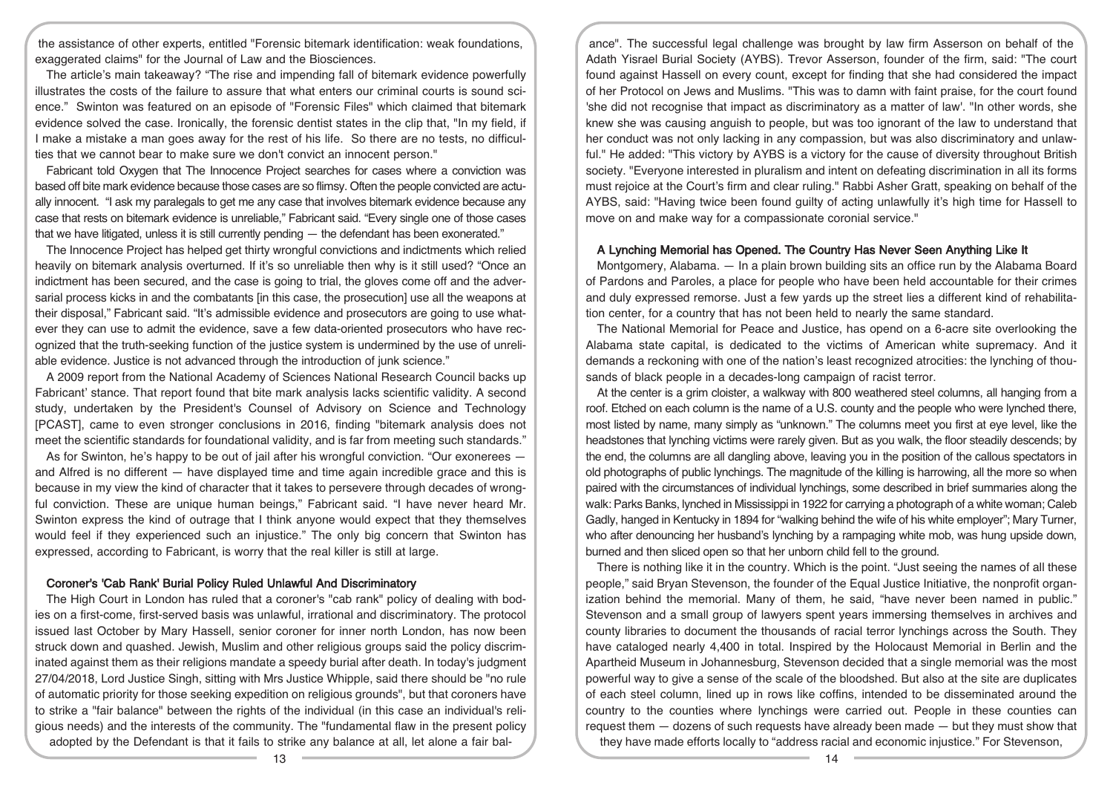the assistance of other experts, entitled "Forensic bitemark identification: weak foundations, exaggerated claims" for the Journal of Law and the Biosciences.

The article's main takeaway? "The rise and impending fall of bitemark evidence powerfully illustrates the costs of the failure to assure that what enters our criminal courts is sound science." Swinton was featured on an episode of "Forensic Files" which claimed that bitemark evidence solved the case. Ironically, the forensic dentist states in the clip that, "In my field, if I make a mistake a man goes away for the rest of his life. So there are no tests, no difficulties that we cannot bear to make sure we don't convict an innocent person."

Fabricant told Oxygen that The Innocence Project searches for cases where a conviction was based off bite mark evidence because those cases are so flimsy. Often the people convicted are actually innocent. "I ask my paralegals to get me any case that involves bitemark evidence because any case that rests on bitemark evidence is unreliable," Fabricant said. "Every single one of those cases that we have litigated, unless it is still currently pending — the defendant has been exonerated."

The Innocence Project has helped get thirty wrongful convictions and indictments which relied heavily on bitemark analysis overturned. If it's so unreliable then why is it still used? "Once an indictment has been secured, and the case is going to trial, the gloves come off and the adversarial process kicks in and the combatants [in this case, the prosecution] use all the weapons at their disposal," Fabricant said. "It's admissible evidence and prosecutors are going to use whatever they can use to admit the evidence, save a few data-oriented prosecutors who have recognized that the truth-seeking function of the justice system is undermined by the use of unreliable evidence. Justice is not advanced through the introduction of junk science."

A 2009 report from the National Academy of Sciences National Research Council backs up Fabricant' stance. That report found that bite mark analysis lacks scientific validity. A second study, undertaken by the President's Counsel of Advisory on Science and Technology [PCAST], came to even stronger conclusions in 2016, finding "bitemark analysis does not meet the scientific standards for foundational validity, and is far from meeting such standards."

As for Swinton, he's happy to be out of jail after his wrongful conviction. "Our exonerees and Alfred is no different — have displayed time and time again incredible grace and this is because in my view the kind of character that it takes to persevere through decades of wrongful conviction. These are unique human beings," Fabricant said. "I have never heard Mr. Swinton express the kind of outrage that I think anyone would expect that they themselves would feel if they experienced such an injustice." The only big concern that Swinton has expressed, according to Fabricant, is worry that the real killer is still at large.

## Coroner's 'Cab Rank' Burial Policy Ruled Unlawful And Discriminatory

The High Court in London has ruled that a coroner's "cab rank" policy of dealing with bodies on a first-come, first-served basis was unlawful, irrational and discriminatory. The protocol issued last October by Mary Hassell, senior coroner for inner north London, has now been struck down and quashed. Jewish, Muslim and other religious groups said the policy discriminated against them as their religions mandate a speedy burial after death. In today's judgment 27/04/2018, Lord Justice Singh, sitting with Mrs Justice Whipple, said there should be "no rule of automatic priority for those seeking expedition on religious grounds", but that coroners have to strike a "fair balance" between the rights of the individual (in this case an individual's religious needs) and the interests of the community. The "fundamental flaw in the present policy adopted by the Defendant is that it fails to strike any balance at all, let alone a fair bal-

ance". The successful legal challenge was brought by law firm Asserson on behalf of the Adath Yisrael Burial Society (AYBS). Trevor Asserson, founder of the firm, said: "The court found against Hassell on every count, except for finding that she had considered the impact of her Protocol on Jews and Muslims. "This was to damn with faint praise, for the court found 'she did not recognise that impact as discriminatory as a matter of law'. "In other words, she knew she was causing anguish to people, but was too ignorant of the law to understand that her conduct was not only lacking in any compassion, but was also discriminatory and unlawful." He added: "This victory by AYBS is a victory for the cause of diversity throughout British society. "Everyone interested in pluralism and intent on defeating discrimination in all its forms must rejoice at the Court's firm and clear ruling." Rabbi Asher Gratt, speaking on behalf of the AYBS, said: "Having twice been found guilty of acting unlawfully it's high time for Hassell to move on and make way for a compassionate coronial service."

## A Lynching Memorial has Opened. The Country Has Never Seen Anything Like It

Montgomery, Alabama. — In a plain brown building sits an office run by the Alabama Board of Pardons and Paroles, a place for people who have been held accountable for their crimes and duly expressed remorse. Just a few yards up the street lies a different kind of rehabilitation center, for a country that has not been held to nearly the same standard.

The National Memorial for Peace and Justice, has opend on a 6-acre site overlooking the Alabama state capital, is dedicated to the victims of American white supremacy. And it demands a reckoning with one of the nation's least recognized atrocities: the lynching of thousands of black people in a decades-long campaign of racist terror.

At the center is a grim cloister, a walkway with 800 weathered steel columns, all hanging from a roof. Etched on each column is the name of a U.S. county and the people who were lynched there, most listed by name, many simply as "unknown." The columns meet you first at eye level, like the headstones that lynching victims were rarely given. But as you walk, the floor steadily descends; by the end, the columns are all dangling above, leaving you in the position of the callous spectators in old photographs of public lynchings. The magnitude of the killing is harrowing, all the more so when paired with the circumstances of individual lynchings, some described in brief summaries along the walk: Parks Banks, lynched in Mississippi in 1922 for carrying a photograph of a white woman; Caleb Gadly, hanged in Kentucky in 1894 for "walking behind the wife of his white employer"; Mary Turner, who after denouncing her husband's lynching by a rampaging white mob, was hung upside down, burned and then sliced open so that her unborn child fell to the ground.

There is nothing like it in the country. Which is the point. "Just seeing the names of all these people," said Bryan Stevenson, the founder of the Equal Justice Initiative, the nonprofit organization behind the memorial. Many of them, he said, "have never been named in public." Stevenson and a small group of lawyers spent years immersing themselves in archives and county libraries to document the thousands of racial terror lynchings across the South. They have cataloged nearly 4,400 in total. Inspired by the Holocaust Memorial in Berlin and the Apartheid Museum in Johannesburg, Stevenson decided that a single memorial was the most powerful way to give a sense of the scale of the bloodshed. But also at the site are duplicates of each steel column, lined up in rows like coffins, intended to be disseminated around the country to the counties where lynchings were carried out. People in these counties can request them — dozens of such requests have already been made — but they must show that they have made efforts locally to "address racial and economic injustice." For Stevenson,